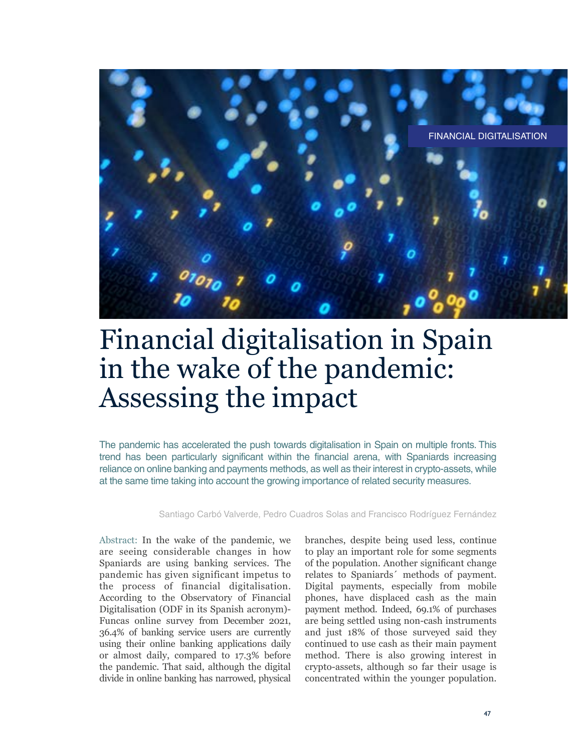

# Financial digitalisation in Spain in the wake of the pandemic: Assessing the impact

The pandemic has accelerated the push towards digitalisation in Spain on multiple fronts. This trend has been particularly significant within the financial arena, with Spaniards increasing reliance on online banking and payments methods, as well as their interest in crypto-assets, while at the same time taking into account the growing importance of related security measures.

Santiago Carbó Valverde, Pedro Cuadros Solas and Francisco Rodríguez Fernández

Abstract: In the wake of the pandemic, we are seeing considerable changes in how Spaniards are using banking services. The pandemic has given significant impetus to the process of financial digitalisation. According to the Observatory of Financial Digitalisation (ODF in its Spanish acronym)- Funcas online survey from December 2021, 36.4% of banking service users are currently using their online banking applications daily or almost daily, compared to 17.3% before the pandemic. That said, although the digital divide in online banking has narrowed, physical

branches, despite being used less, continue to play an important role for some segments of the population. Another significant change relates to Spaniards´ methods of payment. Digital payments, especially from mobile phones, have displaced cash as the main payment method. Indeed, 69.1% of purchases are being settled using non-cash instruments and just 18% of those surveyed said they continued to use cash as their main payment method. There is also growing interest in crypto-assets, although so far their usage is concentrated within the younger population.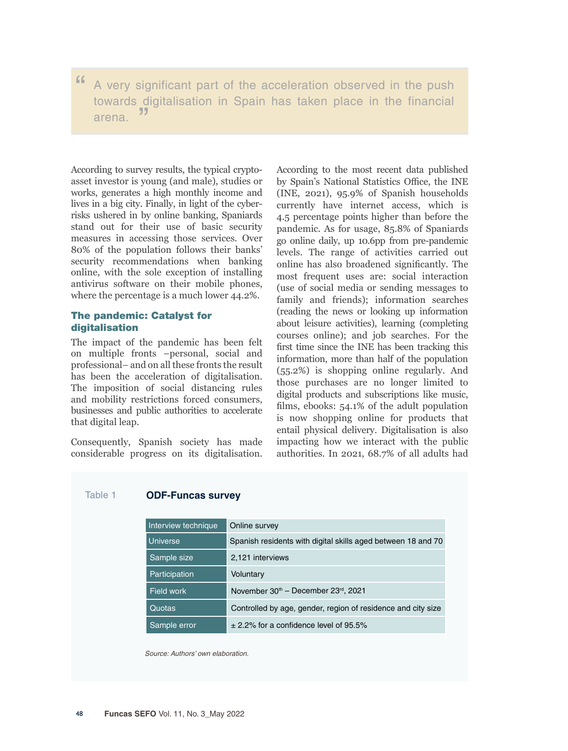" A very significant part of the acceleration observed in the push towards digitalisation in Spain has taken place in the financial arena. "

According to survey results, the typical cryptoasset investor is young (and male), studies or works, generates a high monthly income and lives in a big city. Finally, in light of the cyberrisks ushered in by online banking, Spaniards stand out for their use of basic security measures in accessing those services. Over 80% of the population follows their banks' security recommendations when banking online, with the sole exception of installing antivirus software on their mobile phones, where the percentage is a much lower 44.2%.

# The pandemic: Catalyst for digitalisation

The impact of the pandemic has been felt on multiple fronts –personal, social and professional– and on all these fronts the result has been the acceleration of digitalisation. The imposition of social distancing rules and mobility restrictions forced consumers, businesses and public authorities to accelerate that digital leap.

Consequently, Spanish society has made considerable progress on its digitalisation. According to the most recent data published by Spain's National Statistics Office, the INE (INE, 2021), 95.9% of Spanish households currently have internet access, which is 4.5 percentage points higher than before the pandemic. As for usage, 85.8% of Spaniards go online daily, up 10.6pp from pre-pandemic levels. The range of activities carried out online has also broadened significantly. The most frequent uses are: social interaction (use of social media or sending messages to family and friends); information searches (reading the news or looking up information about leisure activities), learning (completing courses online); and job searches. For the first time since the INE has been tracking this information, more than half of the population (55.2%) is shopping online regularly. And those purchases are no longer limited to digital products and subscriptions like music, films, ebooks: 54.1% of the adult population is now shopping online for products that entail physical delivery. Digitalisation is also impacting how we interact with the public authorities. In 2021, 68.7% of all adults had

## Table 1 **ODF-Funcas survey**

| Interview technique | Online survey                                                |
|---------------------|--------------------------------------------------------------|
| <b>Universe</b>     | Spanish residents with digital skills aged between 18 and 70 |
| Sample size         | 2,121 interviews                                             |
| Participation       | Voluntary                                                    |
| Field work          | November 30th - December 23rd, 2021                          |
| Quotas              | Controlled by age, gender, region of residence and city size |
| Sample error        | $\pm$ 2.2% for a confidence level of 95.5%                   |

*Source: Authors' own elaboration.*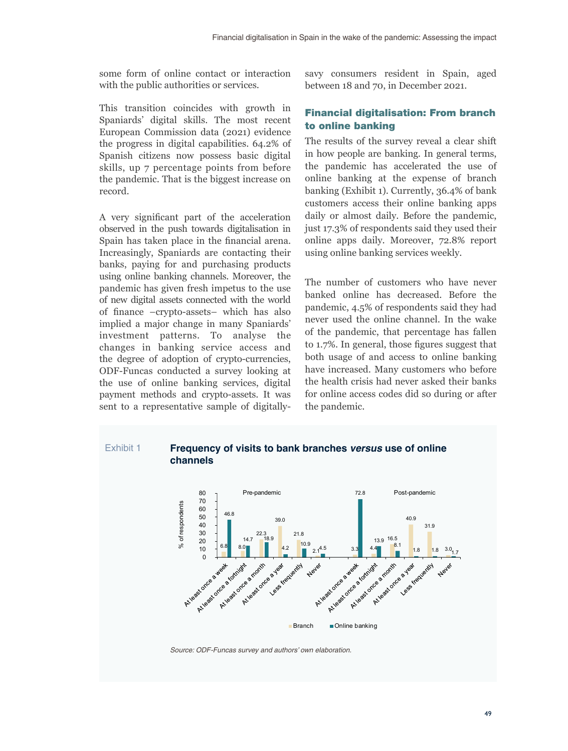some form of online contact or interaction with the public authorities or services.

This transition coincides with growth in Spaniards' digital skills. The most recent European Commission data (2021) evidence the progress in digital capabilities. 64.2% of Spanish citizens now possess basic digital skills, up 7 percentage points from before the pandemic. That is the biggest increase on record.

A very significant part of the acceleration observed in the push towards digitalisation in Spain has taken place in the financial arena. Increasingly, Spaniards are contacting their banks, paying for and purchasing products using online banking channels. Moreover, the pandemic has given fresh impetus to the use of new digital assets connected with the world of finance –crypto-assets– which has also implied a major change in many Spaniards' investment patterns. To analyse the changes in banking service access and the degree of adoption of crypto-currencies, ODF-Funcas conducted a survey looking at the use of online banking services, digital payment methods and crypto-assets. It was sent to a representative sample of digitallysavy consumers resident in Spain, aged between 18 and 70, in December 2021.

# Financial digitalisation: From branch to online banking

The results of the survey reveal a clear shift in how people are banking. In general terms, the pandemic has accelerated the use of online banking at the expense of branch banking (Exhibit 1). Currently, 36.4% of bank customers access their online banking apps daily or almost daily. Before the pandemic, just 17.3% of respondents said they used their online apps daily. Moreover, 72.8% report using online banking services weekly.

The number of customers who have never banked online has decreased. Before the pandemic, 4.5% of respondents said they had never used the online channel. In the wake of the pandemic, that percentage has fallen to 1.7%. In general, those figures suggest that both usage of and access to online banking have increased. Many customers who before the health crisis had never asked their banks for online access codes did so during or after the pandemic.





*Source: ODF-Funcas survey and authors' own elaboration.*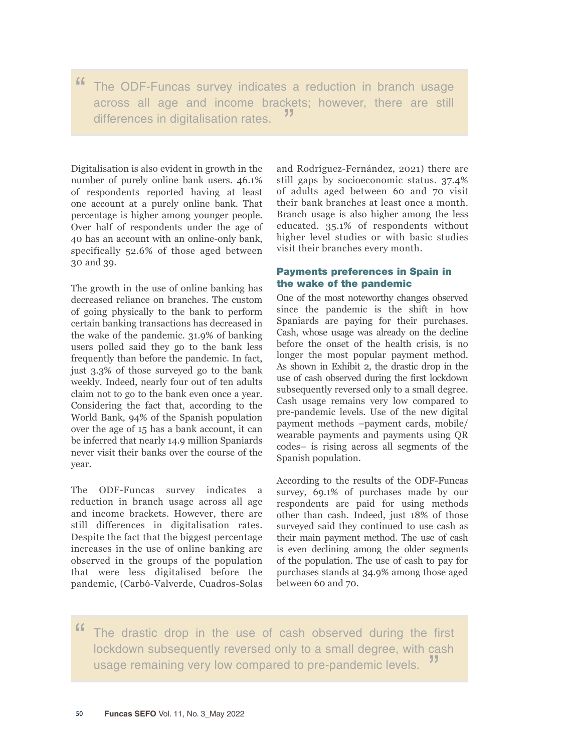" The ODF-Funcas survey indicates a reduction in branch usage across all age and income brackets; however, there are still differences in digitalisation rates.

Digitalisation is also evident in growth in the number of purely online bank users. 46.1% of respondents reported having at least one account at a purely online bank. That percentage is higher among younger people. Over half of respondents under the age of 40 has an account with an online-only bank, specifically 52.6% of those aged between 30 and 39.

The growth in the use of online banking has decreased reliance on branches. The custom of going physically to the bank to perform certain banking transactions has decreased in the wake of the pandemic. 31.9% of banking users polled said they go to the bank less frequently than before the pandemic. In fact, just 3.3% of those surveyed go to the bank weekly. Indeed, nearly four out of ten adults claim not to go to the bank even once a year. Considering the fact that, according to the World Bank, 94% of the Spanish population over the age of 15 has a bank account, it can be inferred that nearly 14.9 million Spaniards never visit their banks over the course of the year.

The ODF-Funcas survey indicates a reduction in branch usage across all age and income brackets. However, there are still differences in digitalisation rates. Despite the fact that the biggest percentage increases in the use of online banking are observed in the groups of the population that were less digitalised before the pandemic, (Carbó-Valverde, Cuadros-Solas and Rodríguez-Fernández, 2021) there are still gaps by socioeconomic status. 37.4% of adults aged between 60 and 70 visit their bank branches at least once a month. Branch usage is also higher among the less educated. 35.1% of respondents without higher level studies or with basic studies visit their branches every month.

# Payments preferences in Spain in the wake of the pandemic

One of the most noteworthy changes observed since the pandemic is the shift in how Spaniards are paying for their purchases. Cash, whose usage was already on the decline before the onset of the health crisis, is no longer the most popular payment method. As shown in Exhibit 2, the drastic drop in the use of cash observed during the first lockdown subsequently reversed only to a small degree. Cash usage remains very low compared to pre-pandemic levels. Use of the new digital payment methods –payment cards, mobile/ wearable payments and payments using QR codes– is rising across all segments of the Spanish population.

According to the results of the ODF-Funcas survey, 69.1% of purchases made by our respondents are paid for using methods other than cash. Indeed, just 18% of those surveyed said they continued to use cash as their main payment method. The use of cash is even declining among the older segments of the population. The use of cash to pay for purchases stands at 34.9% among those aged between 60 and 70.

" The drastic drop in the use of cash observed during the first lockdown subsequently reversed only to a small degree, with cash usage remaining very low compared to pre-pandemic levels. "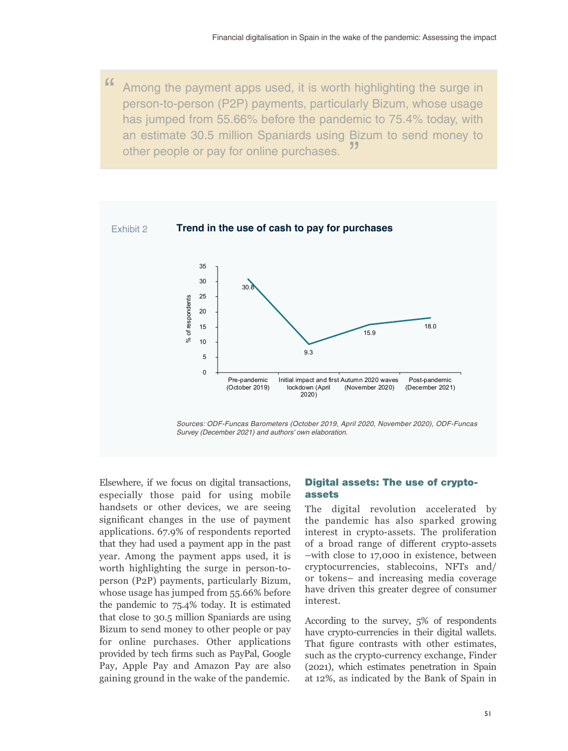" Among the payment apps used, it is worth highlighting the surge in person-to-person (P2P) payments, particularly Bizum, whose usage has jumped from 55.66% before the pandemic to 75.4% today, with an estimate 30.5 million Spaniards using Bizum to send money to other people or pay for online purchases.



Elsewhere, if we focus on digital transactions, especially those paid for using mobile handsets or other devices, we are seeing significant changes in the use of payment applications. 67.9% of respondents reported that they had used a payment app in the past year. Among the payment apps used, it is worth highlighting the surge in person-toperson (P2P) payments, particularly Bizum, whose usage has jumped from 55.66% before the pandemic to 75.4% today. It is estimated that close to 30.5 million Spaniards are using Bizum to send money to other people or pay for online purchases. Other applications provided by tech firms such as PayPal, Google Pay, Apple Pay and Amazon Pay are also gaining ground in the wake of the pandemic.

# Digital assets: The use of cryptoassets

The digital revolution accelerated by the pandemic has also sparked growing interest in crypto-assets. The proliferation of a broad range of different crypto-assets –with close to 17,000 in existence, between cryptocurrencies, stablecoins, NFTs and/ or tokens– and increasing media coverage have driven this greater degree of consumer interest.

According to the survey, 5% of respondents have crypto-currencies in their digital wallets. That figure contrasts with other estimates, such as the crypto-currency exchange, Finder (2021), which estimates penetration in Spain at 12%, as indicated by the Bank of Spain in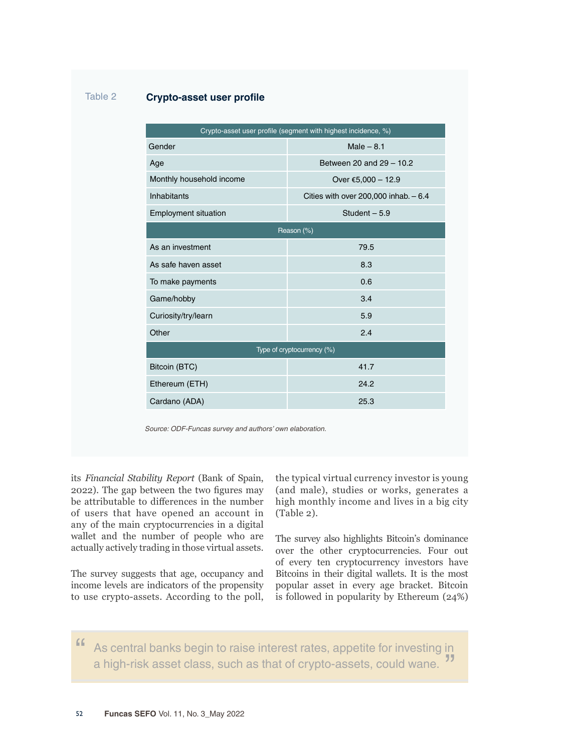| Gender                      | $Male - 8.1$                             |
|-----------------------------|------------------------------------------|
| Age                         | Between 20 and 29 - 10.2                 |
| Monthly household income    | Over €5,000 - 12.9                       |
| <b>Inhabitants</b>          | Cities with over $200,000$ inhab. $-6.4$ |
| <b>Employment situation</b> | Student $-5.9$                           |
|                             | Reason (%)                               |
| As an investment            | 79.5                                     |
| As safe haven asset         | 8.3                                      |
| To make payments            | 0.6                                      |
| Game/hobby                  | 3.4                                      |
| Curiosity/try/learn         | 5.9                                      |
| Other                       | 2.4                                      |
|                             | Type of cryptocurrency (%)               |
| Bitcoin (BTC)               | 41.7                                     |
| Ethereum (ETH)              | 24.2                                     |
| Cardano (ADA)               | 25.3                                     |

its *Financial Stability Report* (Bank of Spain, 2022). The gap between the two figures may be attributable to differences in the number of users that have opened an account in any of the main cryptocurrencies in a digital wallet and the number of people who are actually actively trading in those virtual assets.

Table 2 **Crypto-asset user profile**

The survey suggests that age, occupancy and income levels are indicators of the propensity to use crypto-assets. According to the poll,

the typical virtual currency investor is young (and male), studies or works, generates a high monthly income and lives in a big city (Table 2).

The survey also highlights Bitcoin's dominance over the other cryptocurrencies. Four out of every ten cryptocurrency investors have Bitcoins in their digital wallets. It is the most popular asset in every age bracket. Bitcoin is followed in popularity by Ethereum (24%)

" As central banks begin to raise interest rates, appetite for investing in a high-risk asset class, such as that of crypto-assets, could wane. "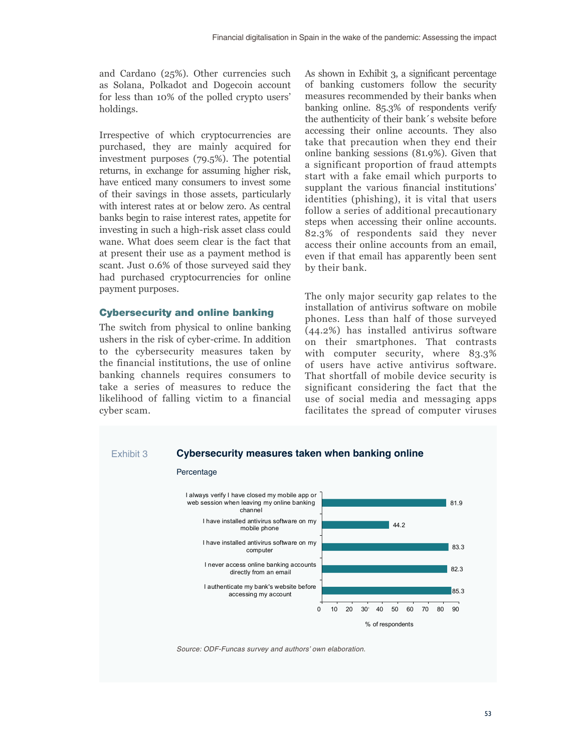and Cardano (25%). Other currencies such as Solana, Polkadot and Dogecoin account for less than 10% of the polled crypto users' holdings.

Irrespective of which cryptocurrencies are purchased, they are mainly acquired for investment purposes (79.5%). The potential returns, in exchange for assuming higher risk, have enticed many consumers to invest some of their savings in those assets, particularly with interest rates at or below zero. As central banks begin to raise interest rates, appetite for investing in such a high-risk asset class could wane. What does seem clear is the fact that at present their use as a payment method is scant. Just 0.6% of those surveyed said they had purchased cryptocurrencies for online payment purposes.

## Cybersecurity and online banking

The switch from physical to online banking ushers in the risk of cyber-crime. In addition to the cybersecurity measures taken by the financial institutions, the use of online banking channels requires consumers to take a series of measures to reduce the likelihood of falling victim to a financial cyber scam.

As shown in Exhibit 3, a significant percentage of banking customers follow the security measures recommended by their banks when banking online. 85.3% of respondents verify the authenticity of their bank´s website before accessing their online accounts. They also take that precaution when they end their online banking sessions (81.9%). Given that a significant proportion of fraud attempts start with a fake email which purports to supplant the various financial institutions' identities (phishing), it is vital that users follow a series of additional precautionary steps when accessing their online accounts. 82.3% of respondents said they never access their online accounts from an email, even if that email has apparently been sent by their bank.

The only major security gap relates to the installation of antivirus software on mobile phones. Less than half of those surveyed (44.2%) has installed antivirus software on their smartphones. That contrasts with computer security, where 83.3% of users have active antivirus software. That shortfall of mobile device security is significant considering the fact that the use of social media and messaging apps facilitates the spread of computer viruses



*Source: ODF-Funcas survey and authors' own elaboration.*